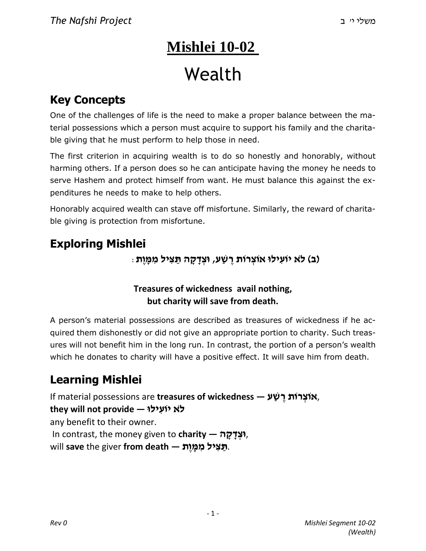# **Mishlei 10-02** Wealth

## **Key Concepts**

One of the challenges of life is the need to make a proper balance between the material possessions which a person must acquire to support his family and the charitable giving that he must perform to help those in need.

The first criterion in acquiring wealth is to do so honestly and honorably, without harming others. If a person does so he can anticipate having the money he needs to serve Hashem and protect himself from want. He must balance this against the expenditures he needs to make to help others.

Honorably acquired wealth can stave off misfortune. Similarly, the reward of charitable giving is protection from misfortune.

### **Exploring Mishlei**

**)ב( ל ֹא יוֹעִ ילוּ אוֹצְ רוֹת רֶ שַׁ ע, וּצְ דָ קָ ה תַּ צִּ יל מִ מָּ וֶת** :

#### **Treasures of wickedness avail nothing, but charity will save from death.**

A person's material possessions are described as treasures of wickedness if he acquired them dishonestly or did not give an appropriate portion to charity. Such treasures will not benefit him in the long run. In contrast, the portion of a person's wealth which he donates to charity will have a positive effect. It will save him from death.

## **Learning Mishlei**

If material possessions are **treasures of wickedness — ע ַשׁ ֶר רוֹת ְאוֹצ**, **ל ֹא יוֹעִ ילוּ — provide not will they** any benefit to their owner. In contrast, the money given to **charity — ה ָק ָד ְוּצ**, .**תַּ צִּ יל מִ מָּ וֶת — death from** giver the **save** will